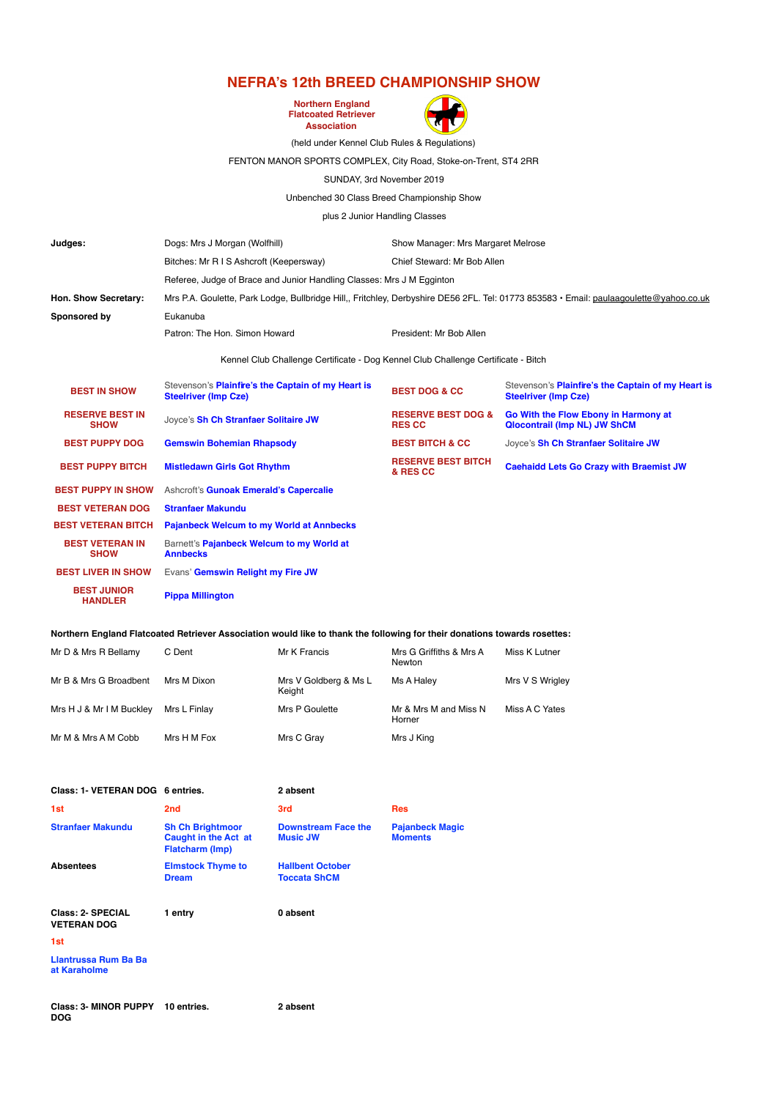## **NEFRA's 12th BREED CHAMPIONSHIP SHOW**

**Northern England Flatcoated Retriever Association**



(held under Kennel Club Rules & Regulations)

## FENTON MANOR SPORTS COMPLEX, City Road, Stoke-on-Trent, ST4 2RR

SUNDAY, 3rd November 2019

Unbenched 30 Class Breed Championship Show

plus 2 Junior Handling Classes

| Judges:                               | Dogs: Mrs J Morgan (Wolfhill)                                                                                                          | Show Manager: Mrs Margaret Melrose             |                                                                                   |  |  |
|---------------------------------------|----------------------------------------------------------------------------------------------------------------------------------------|------------------------------------------------|-----------------------------------------------------------------------------------|--|--|
|                                       | Bitches: Mr R I S Ashcroft (Keepersway)                                                                                                | Chief Steward: Mr Bob Allen                    |                                                                                   |  |  |
|                                       | Referee, Judge of Brace and Junior Handling Classes: Mrs J M Egginton                                                                  |                                                |                                                                                   |  |  |
| Hon. Show Secretary:                  | Mrs P.A. Goulette, Park Lodge, Bullbridge Hill,, Fritchley, Derbyshire DE56 2FL. Tel: 01773 853583 · Email: paulaagoulette@yahoo.co.uk |                                                |                                                                                   |  |  |
| Sponsored by                          | Eukanuba                                                                                                                               |                                                |                                                                                   |  |  |
|                                       | Patron: The Hon. Simon Howard                                                                                                          | President: Mr Bob Allen                        |                                                                                   |  |  |
|                                       | Kennel Club Challenge Certificate - Dog Kennel Club Challenge Certificate - Bitch                                                      |                                                |                                                                                   |  |  |
| <b>BEST IN SHOW</b>                   | Stevenson's <b>Plainfire's the Captain of my Heart is</b><br><b>Steelriver (Imp Cze)</b>                                               | <b>BEST DOG &amp; CC</b>                       | Stevenson's Plainfire's the Captain of my Heart is<br><b>Steelriver (Imp Cze)</b> |  |  |
| <b>RESERVE BEST IN</b><br><b>SHOW</b> | Jovce's Sh Ch Stranfaer Solitaire JW                                                                                                   | <b>RESERVE BEST DOG &amp;</b><br><b>RES CC</b> | Go With the Flow Ebony in Harmony at<br><b>Qlocontrail (Imp NL) JW ShCM</b>       |  |  |
| <b>BEST PUPPY DOG</b>                 | <b>Gemswin Bohemian Rhapsody</b>                                                                                                       | <b>BEST BITCH &amp; CC</b>                     | Joyce's Sh Ch Stranfaer Solitaire JW                                              |  |  |
| <b>BEST PUPPY BITCH</b>               | <b>Mistledawn Girls Got Rhythm</b>                                                                                                     | <b>RESERVE BEST BITCH</b><br>& RES CC          | <b>Caehaidd Lets Go Crazy with Braemist JW</b>                                    |  |  |
| <b>BEST PUPPY IN SHOW</b>             | Ashcroft's Gunoak Emerald's Capercalie                                                                                                 |                                                |                                                                                   |  |  |
| <b>BEST VETERAN DOG</b>               | <b>Stranfaer Makundu</b>                                                                                                               |                                                |                                                                                   |  |  |
| <b>BEST VETERAN BITCH</b>             | <b>Pajanbeck Welcum to my World at Annbecks</b>                                                                                        |                                                |                                                                                   |  |  |
| <b>BEST VETERAN IN</b><br><b>SHOW</b> | Barnett's Pajanbeck Welcum to my World at<br><b>Annbecks</b>                                                                           |                                                |                                                                                   |  |  |
| <b>BEST LIVER IN SHOW</b>             | Evans' Gemswin Relight my Fire JW                                                                                                      |                                                |                                                                                   |  |  |
| <b>BEST JUNIOR</b><br><b>HANDLER</b>  | <b>Pippa Millington</b>                                                                                                                |                                                |                                                                                   |  |  |

## **Northern England Flatcoated Retriever Association would like to thank the following for their donations towards rosettes:**

| Mr D & Mrs R Bellamy     | C Dent       | Mr K Francis                    | Mrs G Griffiths & Mrs A<br>Newton | Miss K Lutner   |
|--------------------------|--------------|---------------------------------|-----------------------------------|-----------------|
| Mr B & Mrs G Broadbent   | Mrs M Dixon  | Mrs V Goldberg & Ms L<br>Keight | Ms A Halev                        | Mrs V S Wrigley |
| Mrs H J & Mr I M Buckley | Mrs L Finlav | Mrs P Goulette                  | Mr & Mrs M and Miss N<br>Horner   | Miss A C Yates  |
| Mr M & Mrs A M Cobb      | Mrs H M Fox  | Mrs C Gray                      | Mrs J King                        |                 |

| Class: 1- VETERAN DOG 6 entries.        |                                                                           | 2 absent                                       |                                          |
|-----------------------------------------|---------------------------------------------------------------------------|------------------------------------------------|------------------------------------------|
| 1st                                     | 2 <sub>nd</sub>                                                           | 3rd                                            | <b>Res</b>                               |
| <b>Stranfaer Makundu</b>                | <b>Sh Ch Brightmoor</b><br>Caught in the Act at<br><b>Flatcharm (Imp)</b> | <b>Downstream Face the</b><br><b>Music JW</b>  | <b>Pajanbeck Magic</b><br><b>Moments</b> |
| <b>Absentees</b>                        | <b>Elmstock Thyme to</b><br><b>Dream</b>                                  | <b>Hallbent October</b><br><b>Toccata ShCM</b> |                                          |
| Class: 2- SPECIAL<br><b>VETERAN DOG</b> | 1 entry                                                                   | 0 absent                                       |                                          |
| 1st                                     |                                                                           |                                                |                                          |
| Llantrussa Rum Ba Ba<br>at Karaholme    |                                                                           |                                                |                                          |

**Class: 3- MINOR PUPPY 10 entries. 2 absentDOG**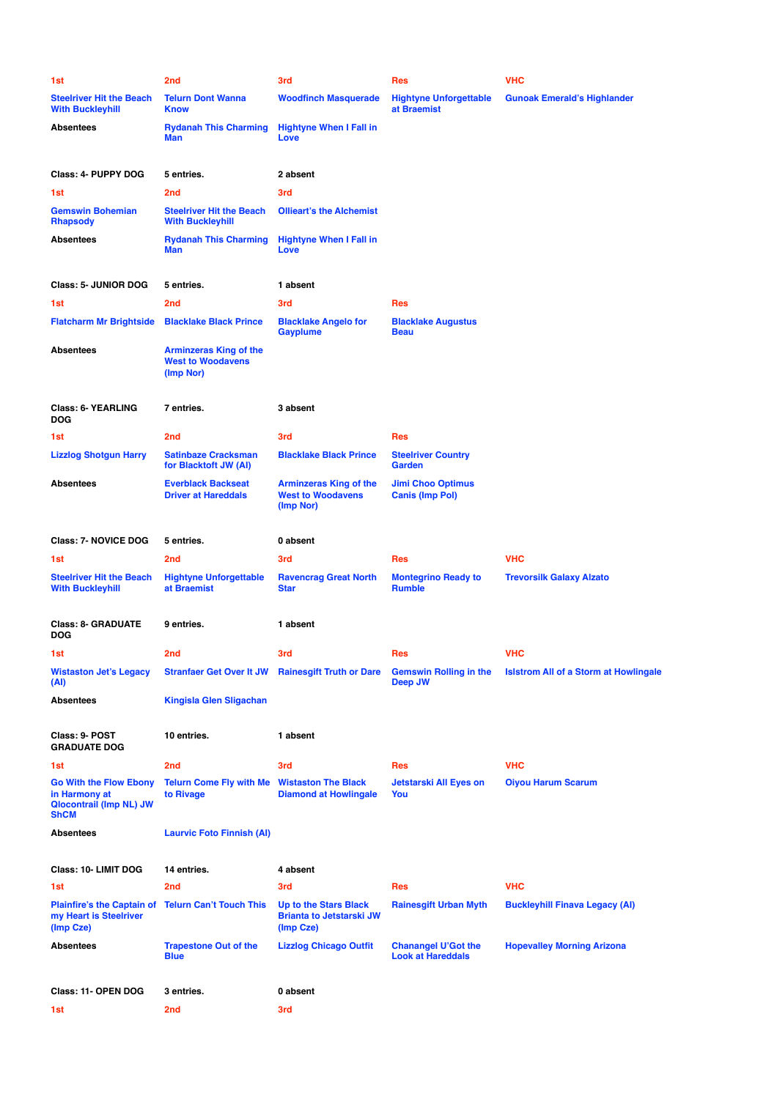| 1st                                                                                      | 2 <sub>nd</sub>                                                        | 3rd                                                                    | <b>Res</b>                                             | <b>VHC</b>                                   |
|------------------------------------------------------------------------------------------|------------------------------------------------------------------------|------------------------------------------------------------------------|--------------------------------------------------------|----------------------------------------------|
| <b>Steelriver Hit the Beach</b><br><b>With Buckleyhill</b>                               | <b>Telurn Dont Wanna</b><br><b>Know</b>                                | <b>Woodfinch Masquerade</b>                                            | <b>Hightyne Unforgettable</b><br>at Braemist           | <b>Gunoak Emerald's Highlander</b>           |
| <b>Absentees</b>                                                                         | <b>Rydanah This Charming</b><br><b>Man</b>                             | <b>Hightyne When I Fall in</b><br>Love                                 |                                                        |                                              |
| Class: 4- PUPPY DOG                                                                      | 5 entries.                                                             | 2 absent                                                               |                                                        |                                              |
| 1st                                                                                      | 2 <sub>nd</sub>                                                        | 3rd                                                                    |                                                        |                                              |
| <b>Gemswin Bohemian</b><br><b>Rhapsody</b>                                               | <b>Steelriver Hit the Beach</b><br><b>With Buckleyhill</b>             | <b>Ollieart's the Alchemist</b>                                        |                                                        |                                              |
| Absentees                                                                                | <b>Rydanah This Charming</b><br><b>Man</b>                             | <b>Hightyne When I Fall in</b><br>Love                                 |                                                        |                                              |
| <b>Class: 5- JUNIOR DOG</b>                                                              | 5 entries.                                                             | 1 absent                                                               |                                                        |                                              |
| 1st                                                                                      | 2 <sub>nd</sub>                                                        | 3rd                                                                    | <b>Res</b>                                             |                                              |
| <b>Flatcharm Mr Brightside</b>                                                           | <b>Blacklake Black Prince</b>                                          | <b>Blacklake Angelo for</b><br><b>Gayplume</b>                         | <b>Blacklake Augustus</b><br><b>Beau</b>               |                                              |
| Absentees                                                                                | <b>Arminzeras King of the</b><br><b>West to Woodavens</b><br>(Imp Nor) |                                                                        |                                                        |                                              |
| <b>Class: 6- YEARLING</b><br>DOG                                                         | 7 entries.                                                             | 3 absent                                                               |                                                        |                                              |
| 1st                                                                                      | 2 <sub>nd</sub>                                                        | 3rd                                                                    | <b>Res</b>                                             |                                              |
| <b>Lizzlog Shotgun Harry</b>                                                             | <b>Satinbaze Cracksman</b><br>for Blacktoft JW (AI)                    | <b>Blacklake Black Prince</b>                                          | <b>Steelriver Country</b><br>Garden                    |                                              |
| Absentees                                                                                | <b>Everblack Backseat</b><br><b>Driver at Hareddals</b>                | <b>Arminzeras King of the</b><br><b>West to Woodavens</b><br>(Imp Nor) | <b>Jimi Choo Optimus</b><br><b>Canis (Imp Pol)</b>     |                                              |
| <b>Class: 7- NOVICE DOG</b>                                                              | 5 entries.                                                             | 0 absent                                                               |                                                        |                                              |
| 1st                                                                                      | 2 <sub>nd</sub>                                                        | 3rd                                                                    | <b>Res</b>                                             | <b>VHC</b>                                   |
| <b>Steelriver Hit the Beach</b><br>With Buckleyhill                                      | <b>Hightyne Unforgettable</b><br>at Braemist                           | <b>Ravencrag Great North</b><br><b>Star</b>                            | <b>Montegrino Ready to</b><br><b>Rumble</b>            | <b>Trevorsilk Galaxy Alzato</b>              |
| <b>Class: 8- GRADUATE</b><br>DOG                                                         | 9 entries.                                                             | 1 absent                                                               |                                                        |                                              |
| 1st.                                                                                     | 2nd                                                                    | 3rd                                                                    | Res                                                    | <b>VHC</b>                                   |
| <b>Wistaston Jet's Legacy</b><br>(Al)                                                    | <b>Stranfaer Get Over It JW</b>                                        | <b>Rainesgift Truth or Dare</b>                                        | <b>Gemswin Rolling in the</b><br><b>Deep JW</b>        | <b>Islstrom All of a Storm at Howlingale</b> |
| Absentees                                                                                | <b>Kingisla Glen Sligachan</b>                                         |                                                                        |                                                        |                                              |
| Class: 9- POST<br><b>GRADUATE DOG</b>                                                    | 10 entries.                                                            | 1 absent                                                               |                                                        |                                              |
| 1st                                                                                      | 2 <sub>nd</sub>                                                        | 3rd                                                                    | <b>Res</b>                                             | <b>VHC</b>                                   |
| <b>Go With the Flow Ebony</b><br>in Harmony at<br><b>Qlocontrail (Imp NL) JW</b><br>ShCM | <b>Telurn Come Fly with Me</b><br>to Rivage                            | <b>Wistaston The Black</b><br><b>Diamond at Howlingale</b>             | Jetstarski All Eyes on<br>You                          | <b>Oiyou Harum Scarum</b>                    |
| Absentees                                                                                | <b>Laurvic Foto Finnish (AI)</b>                                       |                                                                        |                                                        |                                              |
| Class: 10- LIMIT DOG                                                                     | 14 entries.                                                            | 4 absent                                                               |                                                        |                                              |
| 1st                                                                                      | 2 <sub>nd</sub>                                                        | 3rd                                                                    | <b>Res</b>                                             | <b>VHC</b>                                   |
| <b>Plainfire's the Captain of</b><br>my Heart is Steelriver<br>(Imp Cze)                 | <b>Telurn Can't Touch This</b>                                         | Up to the Stars Black<br><b>Brianta to Jetstarski JW</b><br>(Imp Cze)  | <b>Rainesgift Urban Myth</b>                           | <b>Buckleyhill Finava Legacy (AI)</b>        |
| Absentees                                                                                | <b>Trapestone Out of the</b><br><b>Blue</b>                            | <b>Lizzlog Chicago Outfit</b>                                          | <b>Chanangel U'Got the</b><br><b>Look at Hareddals</b> | <b>Hopevalley Morning Arizona</b>            |
| Class: 11- OPEN DOG                                                                      | 3 entries.                                                             | 0 absent                                                               |                                                        |                                              |
| 1st                                                                                      | 2 <sub>nd</sub>                                                        | 3rd                                                                    |                                                        |                                              |
|                                                                                          |                                                                        |                                                                        |                                                        |                                              |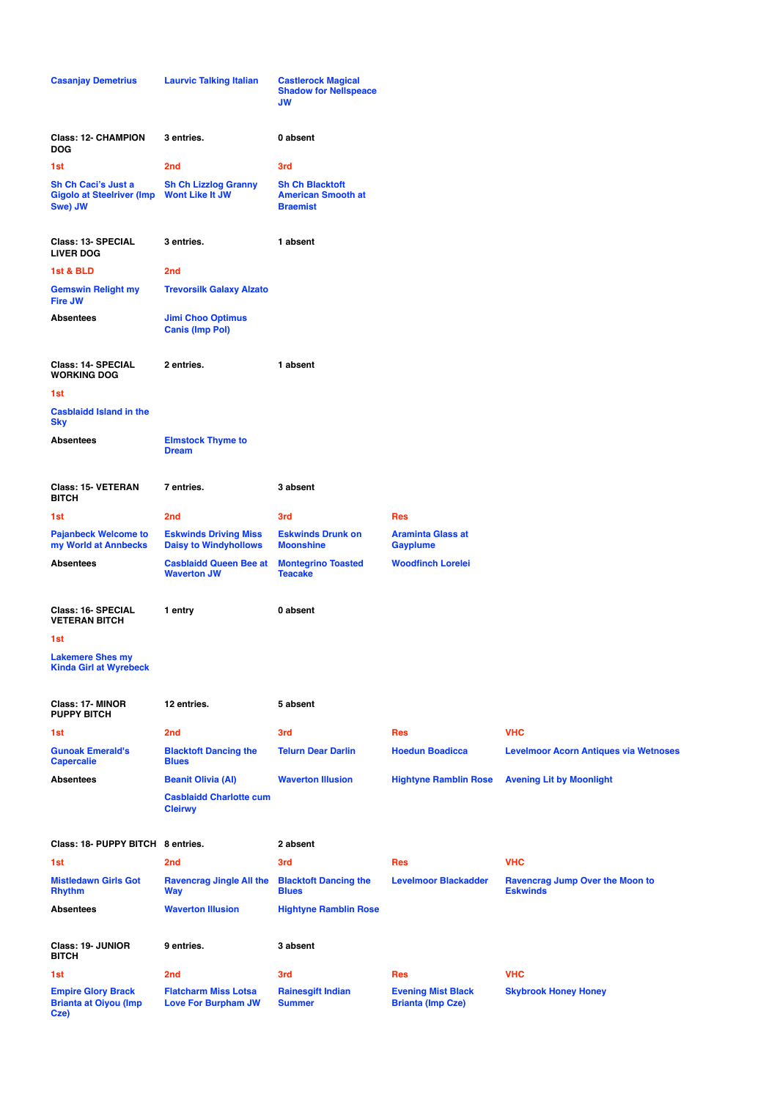| <b>Casanjay Demetrius</b>                                         | <b>Laurvic Talking Italian</b>                                                | <b>Castlerock Magical</b><br><b>Shadow for Nellspeace</b><br><b>JW</b> |                                                       |                                                           |
|-------------------------------------------------------------------|-------------------------------------------------------------------------------|------------------------------------------------------------------------|-------------------------------------------------------|-----------------------------------------------------------|
| <b>Class: 12- CHAMPION</b><br>DOG                                 | 3 entries.                                                                    | 0 absent                                                               |                                                       |                                                           |
| 1st                                                               | 2nd                                                                           | 3rd                                                                    |                                                       |                                                           |
| Sh Ch Caci's Just a<br>Gigolo at Steelriver (Imp<br>Swe) JW       | <b>Sh Ch Lizzlog Granny</b><br><b>Wont Like It JW</b>                         | <b>Sh Ch Blacktoft</b><br><b>American Smooth at</b><br><b>Braemist</b> |                                                       |                                                           |
| Class: 13- SPECIAL<br><b>LIVER DOG</b>                            | 3 entries.                                                                    | 1 absent                                                               |                                                       |                                                           |
| 1st & BLD                                                         | 2nd                                                                           |                                                                        |                                                       |                                                           |
| <b>Gemswin Relight my</b><br>Fire JW                              | <b>Trevorsilk Galaxy Alzato</b>                                               |                                                                        |                                                       |                                                           |
| Absentees                                                         | <b>Jimi Choo Optimus</b><br><b>Canis (Imp Pol)</b>                            |                                                                        |                                                       |                                                           |
| Class: 14- SPECIAL<br>WORKING DOG                                 | 2 entries.                                                                    | 1 absent                                                               |                                                       |                                                           |
| 1st<br><b>Casblaidd Island in the</b>                             |                                                                               |                                                                        |                                                       |                                                           |
| Sky<br>Absentees                                                  | <b>Elmstock Thyme to</b><br><b>Dream</b>                                      |                                                                        |                                                       |                                                           |
| Class: 15- VETERAN<br>BITCH                                       | 7 entries.                                                                    | 3 absent                                                               |                                                       |                                                           |
| 1st                                                               | 2nd                                                                           | 3rd                                                                    | Res                                                   |                                                           |
| <b>Pajanbeck Welcome to</b><br>my World at Annbecks               | <b>Eskwinds Driving Miss</b><br><b>Daisy to Windyhollows</b>                  | <b>Eskwinds Drunk on</b><br><b>Moonshine</b>                           | <b>Araminta Glass at</b><br><b>Gayplume</b>           |                                                           |
| Absentees                                                         | <b>Casblaidd Queen Bee at</b><br><b>Waverton JW</b>                           | <b>Montegrino Toasted</b><br><b>Teacake</b>                            | <b>Woodfinch Lorelei</b>                              |                                                           |
| Class: 16- SPECIAL<br><b>VETERAN BITCH</b>                        | 1 entry                                                                       | 0 absent                                                               |                                                       |                                                           |
| 1st                                                               |                                                                               |                                                                        |                                                       |                                                           |
| <b>Lakemere Shes my</b><br><b>Kinda Girl at Wyrebeck</b>          |                                                                               |                                                                        |                                                       |                                                           |
| <b>Class: 17- MINOR</b><br><b>PUPPY BITCH</b>                     | 12 entries.                                                                   | 5 absent                                                               |                                                       |                                                           |
| 1st                                                               | 2nd                                                                           | 3rd                                                                    | <b>Res</b>                                            | <b>VHC</b>                                                |
| <b>Gunoak Emerald's</b><br><b>Capercalie</b>                      | <b>Blacktoft Dancing the</b><br><b>Blues</b>                                  | <b>Telurn Dear Darlin</b>                                              | <b>Hoedun Boadicca</b>                                | <b>Levelmoor Acorn Antiques via Wetnoses</b>              |
| <b>Absentees</b>                                                  | <b>Beanit Olivia (AI)</b><br><b>Casblaidd Charlotte cum</b><br><b>Cleirwy</b> | <b>Waverton Illusion</b>                                               | <b>Hightyne Ramblin Rose</b>                          | <b>Avening Lit by Moonlight</b>                           |
| Class: 18- PUPPY BITCH 8 entries.                                 |                                                                               | 2 absent                                                               |                                                       |                                                           |
| 1st                                                               | 2nd                                                                           | 3rd                                                                    | Res                                                   | <b>VHC</b>                                                |
| <b>Mistledawn Girls Got</b><br>Rhythm                             | <b>Ravencrag Jingle All the</b><br>Way                                        | <b>Blacktoft Dancing the</b><br><b>Blues</b>                           | <b>Levelmoor Blackadder</b>                           | <b>Ravencrag Jump Over the Moon to</b><br><b>Eskwinds</b> |
| Absentees                                                         | <b>Waverton Illusion</b>                                                      | <b>Hightyne Ramblin Rose</b>                                           |                                                       |                                                           |
| Class: 19- JUNIOR<br>BITCH                                        | 9 entries.                                                                    | 3 absent                                                               |                                                       |                                                           |
| 1st                                                               | 2 <sub>nd</sub>                                                               | 3rd                                                                    | <b>Res</b>                                            | <b>VHC</b>                                                |
| <b>Empire Glory Brack</b><br><b>Brianta at Oiyou (Imp</b><br>Cze) | <b>Flatcharm Miss Lotsa</b><br><b>Love For Burpham JW</b>                     | <b>Rainesgift Indian</b><br><b>Summer</b>                              | <b>Evening Mist Black</b><br><b>Brianta (Imp Cze)</b> | <b>Skybrook Honey Honey</b>                               |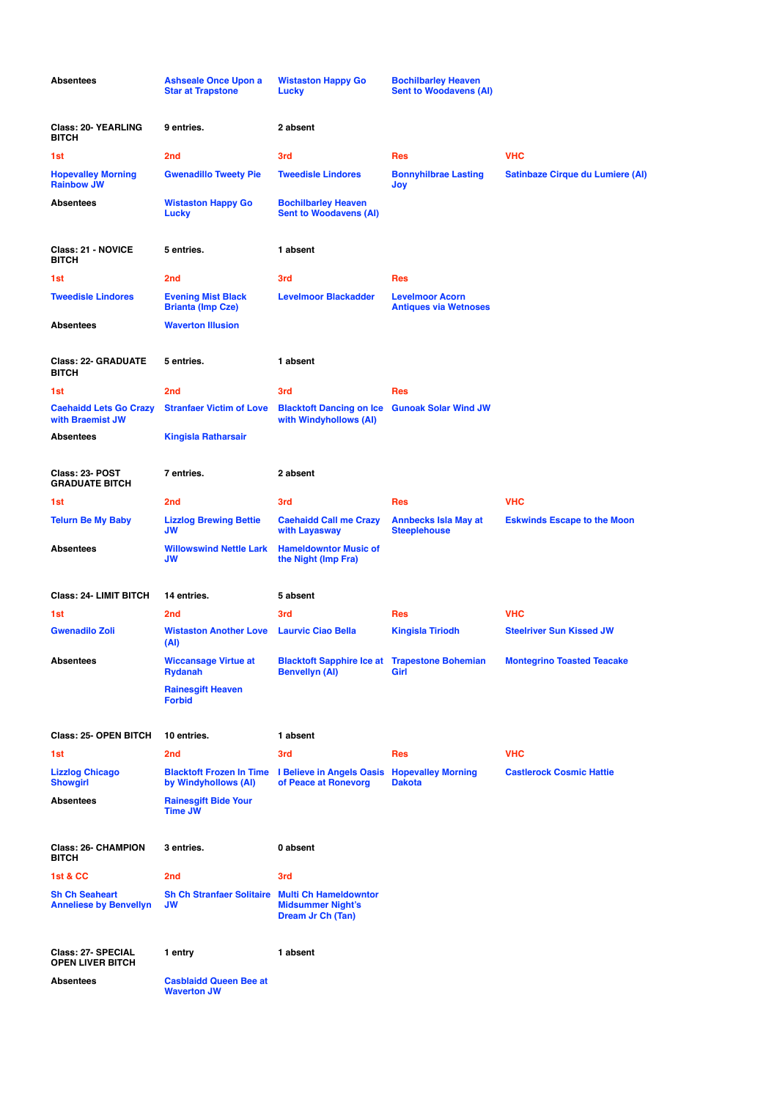| <b>Absentees</b>                                       | <b>Ashseale Once Upon a</b><br><b>Star at Trapstone</b>      | <b>Wistaston Happy Go</b><br>Lucky                                                                   | <b>Bochilbarley Heaven</b><br><b>Sent to Woodavens (AI)</b> |                                         |
|--------------------------------------------------------|--------------------------------------------------------------|------------------------------------------------------------------------------------------------------|-------------------------------------------------------------|-----------------------------------------|
| <b>Class: 20- YEARLING</b><br><b>BITCH</b>             | 9 entries.                                                   | 2 absent                                                                                             |                                                             |                                         |
| 1st                                                    | 2 <sub>nd</sub>                                              | 3rd                                                                                                  | <b>Res</b>                                                  | <b>VHC</b>                              |
| <b>Hopevalley Morning</b><br><b>Rainbow JW</b>         | <b>Gwenadillo Tweety Pie</b>                                 | <b>Tweedisle Lindores</b>                                                                            | <b>Bonnyhilbrae Lasting</b><br>Joy                          | <b>Satinbaze Cirque du Lumiere (AI)</b> |
| <b>Absentees</b>                                       | <b>Wistaston Happy Go</b><br><b>Lucky</b>                    | <b>Bochilbarley Heaven</b><br><b>Sent to Woodavens (AI)</b>                                          |                                                             |                                         |
| Class: 21 - NOVICE<br><b>BITCH</b>                     | 5 entries.                                                   | 1 absent                                                                                             |                                                             |                                         |
| 1st                                                    | 2 <sub>nd</sub>                                              | 3rd                                                                                                  | <b>Res</b>                                                  |                                         |
| <b>Tweedisle Lindores</b>                              | <b>Evening Mist Black</b><br><b>Brianta (Imp Cze)</b>        | <b>Levelmoor Blackadder</b>                                                                          | <b>Levelmoor Acorn</b><br><b>Antiques via Wetnoses</b>      |                                         |
| <b>Absentees</b>                                       | <b>Waverton Illusion</b>                                     |                                                                                                      |                                                             |                                         |
| <b>Class: 22- GRADUATE</b><br><b>BITCH</b>             | 5 entries.                                                   | 1 absent                                                                                             |                                                             |                                         |
| 1st                                                    | 2 <sub>nd</sub>                                              | 3rd                                                                                                  | Res                                                         |                                         |
| <b>Caehaidd Lets Go Crazy</b><br>with Braemist JW      | <b>Stranfaer Victim of Love</b>                              | <b>Blacktoft Dancing on Ice Gunoak Solar Wind JW</b><br>with Windyhollows (AI)                       |                                                             |                                         |
| <b>Absentees</b>                                       | <b>Kingisla Ratharsair</b>                                   |                                                                                                      |                                                             |                                         |
| Class: 23- POST<br><b>GRADUATE BITCH</b>               | 7 entries.                                                   | 2 absent                                                                                             |                                                             |                                         |
| 1st                                                    | 2 <sub>nd</sub>                                              | 3rd                                                                                                  | <b>Res</b>                                                  | <b>VHC</b>                              |
| <b>Telurn Be My Baby</b>                               | <b>Lizzlog Brewing Bettie</b><br>JW                          | <b>Caehaidd Call me Crazy</b><br>with Layasway                                                       | <b>Annbecks Isla May at</b><br><b>Steeplehouse</b>          | <b>Eskwinds Escape to the Moon</b>      |
| <b>Absentees</b>                                       | <b>Willowswind Nettle Lark</b><br>JW                         | <b>Hameldowntor Music of</b><br>the Night (Imp Fra)                                                  |                                                             |                                         |
| <b>Class: 24- LIMIT BITCH</b>                          | 14 entries.                                                  | 5 absent                                                                                             |                                                             |                                         |
| 1st                                                    | 2 <sub>nd</sub>                                              | 3rd                                                                                                  | Res                                                         | <b>VHC</b>                              |
| <b>Gwenadilo Zoli</b>                                  | <b>Wistaston Another Love Laurvic Ciao Bella</b><br>(AI)     |                                                                                                      | <b>Kingisla Tiriodh</b>                                     | <b>Steelriver Sun Kissed JW</b>         |
| <b>Absentees</b>                                       | <b>Wiccansage Virtue at</b><br><b>Rydanah</b>                | <b>Blacktoft Sapphire Ice at Trapestone Bohemian</b><br><b>Benvellyn (AI)</b>                        | Girl                                                        | <b>Montegrino Toasted Teacake</b>       |
|                                                        | <b>Rainesgift Heaven</b><br><b>Forbid</b>                    |                                                                                                      |                                                             |                                         |
| Class: 25- OPEN BITCH                                  | 10 entries.                                                  | 1 absent                                                                                             |                                                             |                                         |
| 1st                                                    | 2 <sub>nd</sub>                                              | 3rd                                                                                                  | <b>Res</b>                                                  | <b>VHC</b>                              |
| <b>Lizzlog Chicago</b><br><b>Showgirl</b>              | by Windyhollows (AI)                                         | <b>Blacktoft Frozen In Time I Believe in Angels Oasis Hopevalley Morning</b><br>of Peace at Ronevorg | <b>Dakota</b>                                               | <b>Castlerock Cosmic Hattie</b>         |
| <b>Absentees</b>                                       | <b>Rainesgift Bide Your</b><br><b>Time JW</b>                |                                                                                                      |                                                             |                                         |
| <b>Class: 26- CHAMPION</b><br><b>BITCH</b>             | 3 entries.                                                   | 0 absent                                                                                             |                                                             |                                         |
| 1st & CC                                               | 2 <sub>nd</sub>                                              | 3rd                                                                                                  |                                                             |                                         |
| <b>Sh Ch Seaheart</b><br><b>Anneliese by Benvellyn</b> | <b>Sh Ch Stranfaer Solitaire Multi Ch Hameldowntor</b><br>JW | <b>Midsummer Night's</b><br>Dream Jr Ch (Tan)                                                        |                                                             |                                         |
| Class: 27- SPECIAL<br><b>OPEN LIVER BITCH</b>          | 1 entry                                                      | 1 absent                                                                                             |                                                             |                                         |
| <b>Absentees</b>                                       | <b>Casblaidd Queen Bee at</b><br><b>Waverton JW</b>          |                                                                                                      |                                                             |                                         |